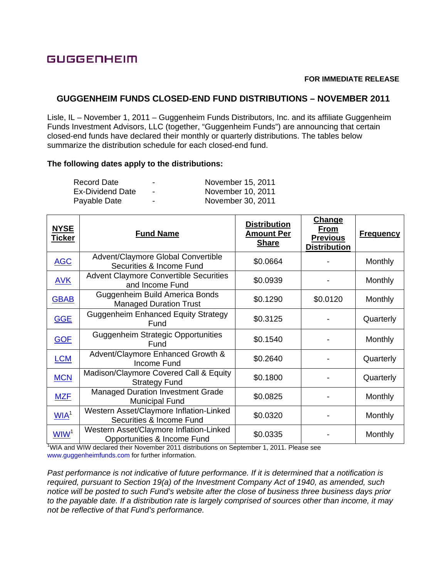## **GUGGENHEIM**

## **FOR IMMEDIATE RELEASE**

## **GUGGENHEIM FUNDS CLOSED-END FUND DISTRIBUTIONS – NOVEMBER 2011**

Lisle, IL – November 1, 2011 – Guggenheim Funds Distributors, Inc. and its affiliate Guggenheim Funds Investment Advisors, LLC (together, "Guggenheim Funds") are announcing that certain closed-end funds have declared their monthly or quarterly distributions. The tables below summarize the distribution schedule for each closed-end fund.

## **The following dates apply to the distributions:**

| Record Date      | $\overline{\phantom{a}}$ | November 15, 2011 |
|------------------|--------------------------|-------------------|
| Ex-Dividend Date | $\overline{\phantom{0}}$ | November 10, 2011 |
| Payable Date     | $\overline{\phantom{a}}$ | November 30, 2011 |

| <u>NYSE</u><br><b>Ticker</b> | <b>Fund Name</b>                                                       | <b>Distribution</b><br><b>Amount Per</b><br><b>Share</b> | <b>Change</b><br>From<br><b>Previous</b><br><b>Distribution</b> | <b>Frequency</b> |
|------------------------------|------------------------------------------------------------------------|----------------------------------------------------------|-----------------------------------------------------------------|------------------|
| <b>AGC</b>                   | Advent/Claymore Global Convertible<br>Securities & Income Fund         | \$0.0664                                                 |                                                                 | Monthly          |
| <b>AVK</b>                   | <b>Advent Claymore Convertible Securities</b><br>and Income Fund       | \$0.0939                                                 |                                                                 | Monthly          |
| <b>GBAB</b>                  | Guggenheim Build America Bonds<br><b>Managed Duration Trust</b>        | \$0.1290                                                 | \$0.0120                                                        | Monthly          |
| <b>GGE</b>                   | <b>Guggenheim Enhanced Equity Strategy</b><br>Fund                     | \$0.3125                                                 |                                                                 | Quarterly        |
| <b>GOF</b>                   | <b>Guggenheim Strategic Opportunities</b><br>Fund                      | \$0.1540                                                 |                                                                 | Monthly          |
| <b>LCM</b>                   | Advent/Claymore Enhanced Growth &<br>Income Fund                       | \$0.2640                                                 |                                                                 | Quarterly        |
| <b>MCN</b>                   | Madison/Claymore Covered Call & Equity<br><b>Strategy Fund</b>         | \$0.1800                                                 |                                                                 | Quarterly        |
| <b>MZF</b>                   | <b>Managed Duration Investment Grade</b><br><b>Municipal Fund</b>      | \$0.0825                                                 |                                                                 | Monthly          |
| WIA <sup>1</sup>             | Western Asset/Claymore Inflation-Linked<br>Securities & Income Fund    | \$0.0320                                                 |                                                                 | Monthly          |
| W <sup>1</sup>               | Western Asset/Claymore Inflation-Linked<br>Opportunities & Income Fund | \$0.0335                                                 |                                                                 | Monthly          |

<sup>1</sup>WIA and WIW declared their November 2011 distributions on September 1, 2011. Please see www.guggenheimfunds.com for further information.

*Past performance is not indicative of future performance. If it is determined that a notification is required, pursuant to Section 19(a) of the Investment Company Act of 1940, as amended, such notice will be posted to such Fund's website after the close of business three business days prior to the payable date. If a distribution rate is largely comprised of sources other than income, it may not be reflective of that Fund's performance.*